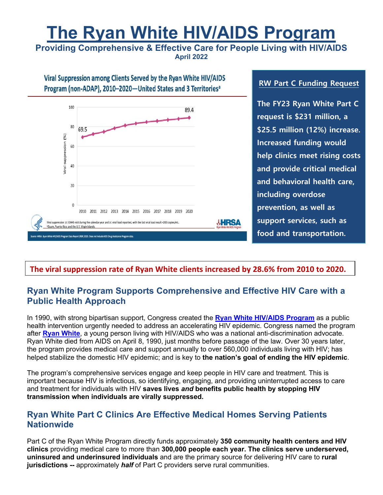# **The Ryan White HIV/AIDS Program**

**Providing Comprehensive & Effective Care for People Living with HIV/AIDS April 2022**



#### **RW Part C Funding Request**

**The FY23 Ryan White Part C request is \$231 million, a \$25.5 million (12%) increase. Increased funding would help clinics meet rising costs and provide critical medical and behavioral health care, including overdose prevention, as well as support services, such as food and transportation.**

#### **The viral suppression rate of Ryan White clients increased by 28.6% from 2010 to 2020.**

## **Ryan White Program Supports Comprehensive and Effective HIV Care with a Public Health Approach**

In 1990, with strong bipartisan support, Congress created the **Ryan White HIV/AIDS Program** as a public health intervention urgently needed to address an accelerating HIV epidemic. Congress named the program after **Ryan White**, a young person living with HIV/AIDS who was a national anti-discrimination advocate. Ryan White died from AIDS on April 8, 1990, just months before passage of the law. Over 30 years later, the program provides medical care and support annually to over 560,000 individuals living with HIV; has helped stabilize the domestic HIV epidemic; and is key to **the nation's goal of ending the HIV epidemic**.

The program's comprehensive services engage and keep people in HIV care and treatment. This is important because HIV is infectious, so identifying, engaging, and providing uninterrupted access to care and treatment for individuals with HIV **saves lives** *and* **benefits public health by stopping HIV transmission when individuals are virally suppressed.** 

### **Ryan White Part C Clinics Are Effective Medical Homes Serving Patients Nationwide**

Part C of the Ryan White Program directly funds approximately **350 community health centers and HIV clinics** providing medical care to more than **300,000 people each year. The clinics serve underserved, uninsured and underinsured individuals** and are the primary source for delivering HIV care to **rural jurisdictions --** approximately *half* of Part C providers serve rural communities.